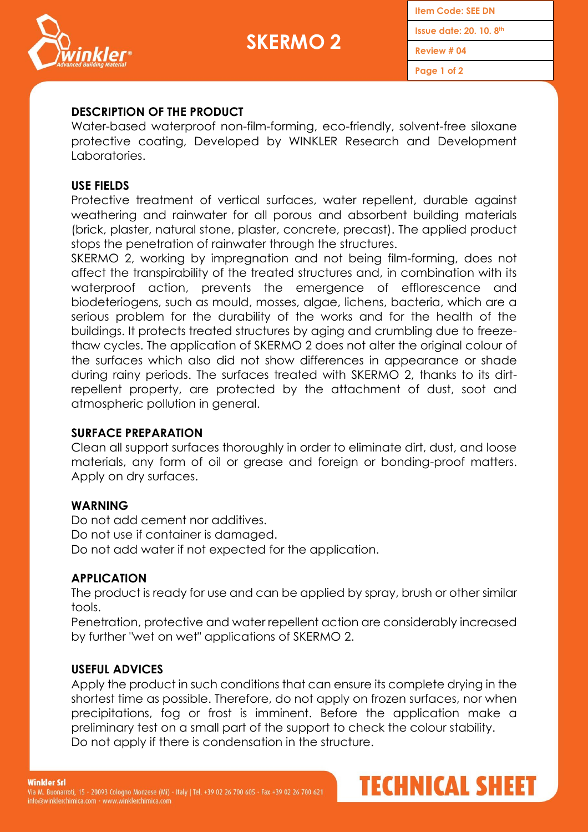



**Item Code: SEE DN Issue date: 20. 10. 8 th**

**Review # 04**

**Page 1 of 2**

### **DESCRIPTION OF THE PRODUCT**

Water-based waterproof non-film-forming, eco-friendly, solvent-free siloxane protective coating, Developed by WINKLER Research and Development Laboratories.

#### **USE FIELDS**

Protective treatment of vertical surfaces, water repellent, durable against weathering and rainwater for all porous and absorbent building materials (brick, plaster, natural stone, plaster, concrete, precast). The applied product stops the penetration of rainwater through the structures.

SKERMO 2, working by impregnation and not being film-forming, does not affect the transpirability of the treated structures and, in combination with its waterproof action, prevents the emergence of efflorescence and biodeteriogens, such as mould, mosses, algae, lichens, bacteria, which are a serious problem for the durability of the works and for the health of the buildings. It protects treated structures by aging and crumbling due to freezethaw cycles. The application of SKERMO 2 does not alter the original colour of the surfaces which also did not show differences in appearance or shade during rainy periods. The surfaces treated with SKERMO 2, thanks to its dirtrepellent property, are protected by the attachment of dust, soot and atmospheric pollution in general.

#### **SURFACE PREPARATION**

Clean all support surfaces thoroughly in order to eliminate dirt, dust, and loose materials, any form of oil or grease and foreign or bonding-proof matters. Apply on dry surfaces.

### **WARNING**

Do not add cement nor additives. Do not use if container is damaged. Do not add water if not expected for the application.

### **APPLICATION**

The product is ready for use and can be applied by spray, brush or other similar tools.

Penetration, protective and water repellent action are considerably increased by further "wet on wet" applications of SKERMO 2.

### **USEFUL ADVICES**

Apply the product in such conditions that can ensure its complete drying in the shortest time as possible. Therefore, do not apply on frozen surfaces, nor when precipitations, fog or frost is imminent. Before the application make a preliminary test on a small part of the support to check the colour stability. Do not apply if there is condensation in the structure.